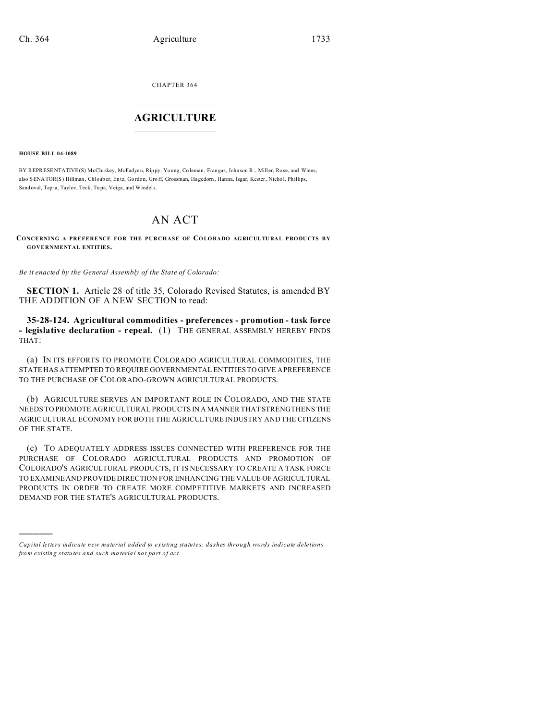CHAPTER 364  $\overline{\phantom{a}}$  , where  $\overline{\phantom{a}}$ 

## **AGRICULTURE**  $\_$   $\_$   $\_$   $\_$   $\_$   $\_$   $\_$   $\_$

**HOUSE BILL 04-1089**

)))))

BY REPRESENTATIVE(S) McClu skey, McFadyen, Rip py, Yo ung, Co leman, Frangas, Johnson R., Mill er, Ro se, and Wiens; also SENATOR(S) Hillman, Chloub er, Entz, Gordon, Groff, Grossman, Hagedorn, Hanna, Isgar, Kester, Nichol, Phillips, Sand oval, Tap ia, Taylor, Teck, Tu pa, Veiga, and Windels.

## AN ACT

**CONCERNING A PREFERENCE FOR THE PURCHASE OF COLORADO AGRICULTURAL PRODUCTS BY GOVERNMENTAL ENTITIES.**

*Be it enacted by the General Assembly of the State of Colorado:*

**SECTION 1.** Article 28 of title 35, Colorado Revised Statutes, is amended BY THE ADDITION OF A NEW SECTION to read:

**35-28-124. Agricultural commodities - preferences - promotion - task force - legislative declaration - repeal.** (1) THE GENERAL ASSEMBLY HEREBY FINDS THAT:

(a) IN ITS EFFORTS TO PROMOTE COLORADO AGRICULTURAL COMMODITIES, THE STATE HAS ATTEMPTED TO REQUIRE GOVERNMENTAL ENTITIES TO GIVE A PREFERENCE TO THE PURCHASE OF COLORADO-GROWN AGRICULTURAL PRODUCTS.

(b) AGRICULTURE SERVES AN IMPORTANT ROLE IN COLORADO, AND THE STATE NEEDS TO PROMOTE AGRICULTURAL PRODUCTS IN A MANNER THAT STRENGTHENS THE AGRICULTURAL ECONOMY FOR BOTH THE AGRICULTURE INDUSTRY AND THE CITIZENS OF THE STATE.

(c) TO ADEQUATELY ADDRESS ISSUES CONNECTED WITH PREFERENCE FOR THE PURCHASE OF COLORADO AGRICULTURAL PRODUCTS AND PROMOTION OF COLORADO'S AGRICULTURAL PRODUCTS, IT IS NECESSARY TO CREATE A TASK FORCE TO EXAMINE AND PROVIDE DIRECTION FOR ENHANCING THE VALUE OF AGRICULTURAL PRODUCTS IN ORDER TO CREATE MORE COMPETITIVE MARKETS AND INCREASED DEMAND FOR THE STATE'S AGRICULTURAL PRODUCTS.

*Capital letters indicate new material added to existing statutes; dashes through words indicate deletions from e xistin g statu tes a nd such ma teria l no t pa rt of ac t.*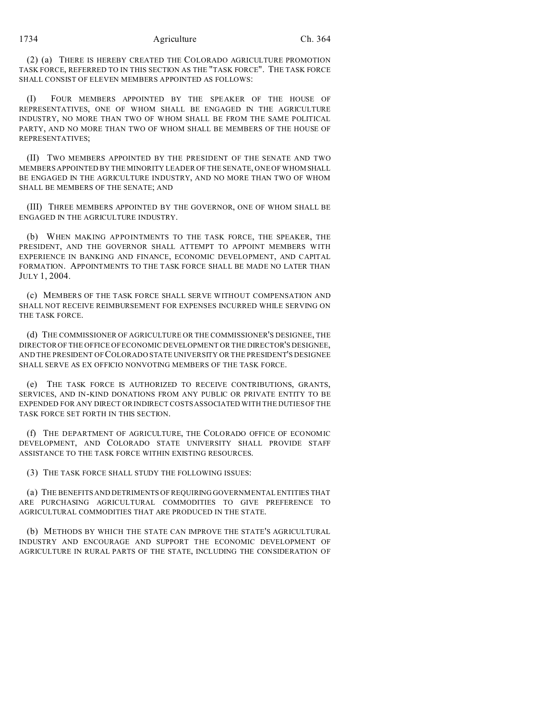## 1734 Agriculture Ch. 364

(2) (a) THERE IS HEREBY CREATED THE COLORADO AGRICULTURE PROMOTION TASK FORCE, REFERRED TO IN THIS SECTION AS THE "TASK FORCE". THE TASK FORCE SHALL CONSIST OF ELEVEN MEMBERS APPOINTED AS FOLLOWS:

(I) FOUR MEMBERS APPOINTED BY THE SPEAKER OF THE HOUSE OF REPRESENTATIVES, ONE OF WHOM SHALL BE ENGAGED IN THE AGRICULTURE INDUSTRY, NO MORE THAN TWO OF WHOM SHALL BE FROM THE SAME POLITICAL PARTY, AND NO MORE THAN TWO OF WHOM SHALL BE MEMBERS OF THE HOUSE OF REPRESENTATIVES;

(II) TWO MEMBERS APPOINTED BY THE PRESIDENT OF THE SENATE AND TWO MEMBERS APPOINTED BY THE MINORITY LEADER OF THE SENATE, ONE OF WHOM SHALL BE ENGAGED IN THE AGRICULTURE INDUSTRY, AND NO MORE THAN TWO OF WHOM SHALL BE MEMBERS OF THE SENATE; AND

(III) THREE MEMBERS APPOINTED BY THE GOVERNOR, ONE OF WHOM SHALL BE ENGAGED IN THE AGRICULTURE INDUSTRY.

(b) WHEN MAKING APPOINTMENTS TO THE TASK FORCE, THE SPEAKER, THE PRESIDENT, AND THE GOVERNOR SHALL ATTEMPT TO APPOINT MEMBERS WITH EXPERIENCE IN BANKING AND FINANCE, ECONOMIC DEVELOPMENT, AND CAPITAL FORMATION. APPOINTMENTS TO THE TASK FORCE SHALL BE MADE NO LATER THAN JULY 1, 2004.

(c) MEMBERS OF THE TASK FORCE SHALL SERVE WITHOUT COMPENSATION AND SHALL NOT RECEIVE REIMBURSEMENT FOR EXPENSES INCURRED WHILE SERVING ON THE TASK FORCE.

(d) THE COMMISSIONER OF AGRICULTURE OR THE COMMISSIONER'S DESIGNEE, THE DIRECTOR OF THE OFFICE OF ECONOMIC DEVELOPMENT OR THE DIRECTOR'S DESIGNEE, AND THE PRESIDENT OF COLORADO STATE UNIVERSITY OR THE PRESIDENT'S DESIGNEE SHALL SERVE AS EX OFFICIO NONVOTING MEMBERS OF THE TASK FORCE.

(e) THE TASK FORCE IS AUTHORIZED TO RECEIVE CONTRIBUTIONS, GRANTS, SERVICES, AND IN-KIND DONATIONS FROM ANY PUBLIC OR PRIVATE ENTITY TO BE EXPENDED FOR ANY DIRECT OR INDIRECT COSTS ASSOCIATED WITH THE DUTIES OF THE TASK FORCE SET FORTH IN THIS SECTION.

(f) THE DEPARTMENT OF AGRICULTURE, THE COLORADO OFFICE OF ECONOMIC DEVELOPMENT, AND COLORADO STATE UNIVERSITY SHALL PROVIDE STAFF ASSISTANCE TO THE TASK FORCE WITHIN EXISTING RESOURCES.

(3) THE TASK FORCE SHALL STUDY THE FOLLOWING ISSUES:

(a) THE BENEFITS AND DETRIMENTS OF REQUIRING GOVERNMENTAL ENTITIES THAT ARE PURCHASING AGRICULTURAL COMMODITIES TO GIVE PREFERENCE TO AGRICULTURAL COMMODITIES THAT ARE PRODUCED IN THE STATE.

(b) METHODS BY WHICH THE STATE CAN IMPROVE THE STATE'S AGRICULTURAL INDUSTRY AND ENCOURAGE AND SUPPORT THE ECONOMIC DEVELOPMENT OF AGRICULTURE IN RURAL PARTS OF THE STATE, INCLUDING THE CONSIDERATION OF